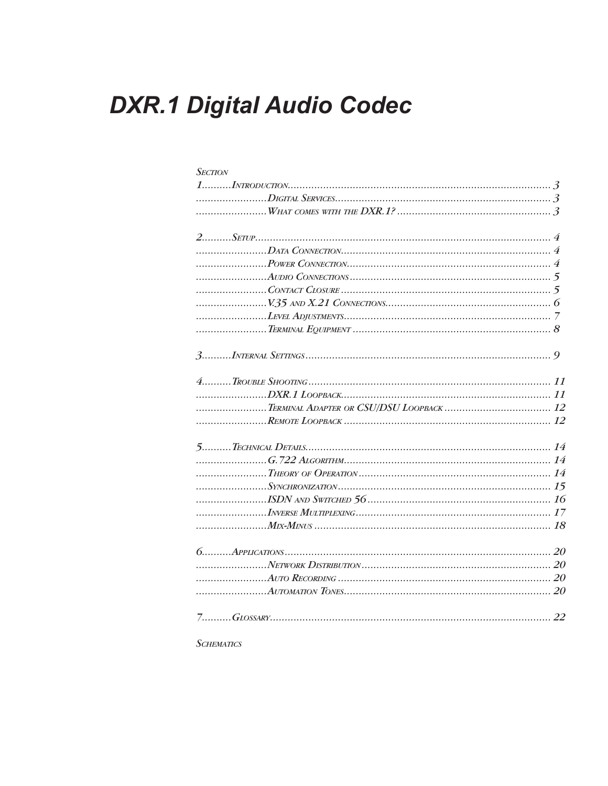# **DXR.1 Digital Audio Codec**

| <b>SECTION</b> |  |
|----------------|--|
|                |  |
|                |  |
|                |  |
|                |  |
|                |  |
|                |  |
|                |  |
|                |  |
|                |  |
|                |  |
|                |  |
|                |  |
|                |  |
|                |  |
|                |  |
|                |  |
|                |  |
|                |  |
|                |  |
|                |  |
|                |  |
|                |  |
|                |  |
|                |  |
|                |  |
|                |  |
|                |  |
|                |  |

**SCHEMATICS**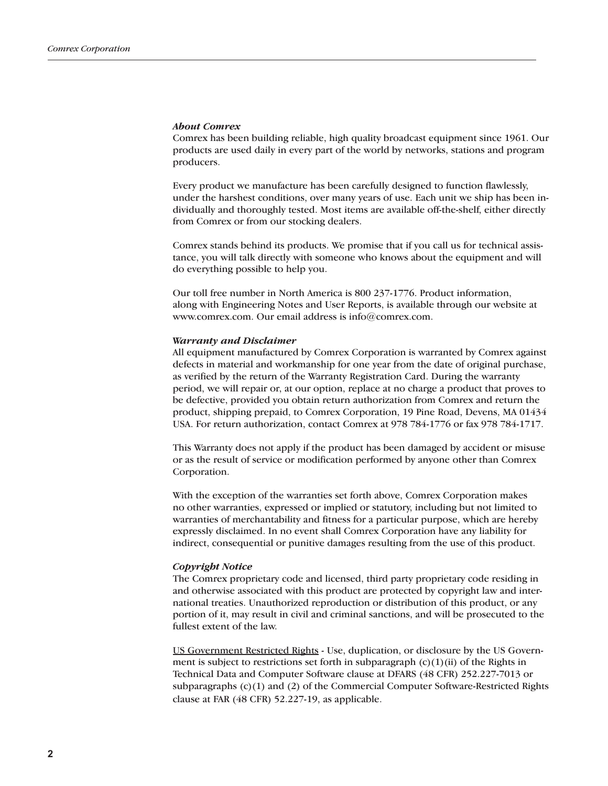#### *About Comrex*

Comrex has been building reliable, high quality broadcast equipment since 1961. Our products are used daily in every part of the world by networks, stations and program producers.

Every product we manufacture has been carefully designed to function flawlessly, under the harshest conditions, over many years of use. Each unit we ship has been individually and thoroughly tested. Most items are available off-the-shelf, either directly from Comrex or from our stocking dealers.

Comrex stands behind its products. We promise that if you call us for technical assistance, you will talk directly with someone who knows about the equipment and will do everything possible to help you.

Our toll free number in North America is 800 237-1776. Product information, along with Engineering Notes and User Reports, is available through our website at www.comrex.com. Our email address is info@comrex.com.

#### *Warranty and Disclaimer*

All equipment manufactured by Comrex Corporation is warranted by Comrex against defects in material and workmanship for one year from the date of original purchase, as verified by the return of the Warranty Registration Card. During the warranty period, we will repair or, at our option, replace at no charge a product that proves to be defective, provided you obtain return authorization from Comrex and return the product, shipping prepaid, to Comrex Corporation, 19 Pine Road, Devens, MA 01434 USA. For return authorization, contact Comrex at 978 784-1776 or fax 978 784-1717.

This Warranty does not apply if the product has been damaged by accident or misuse or as the result of service or modification performed by anyone other than Comrex Corporation.

With the exception of the warranties set forth above, Comrex Corporation makes no other warranties, expressed or implied or statutory, including but not limited to warranties of merchantability and fitness for a particular purpose, which are hereby expressly disclaimed. In no event shall Comrex Corporation have any liability for indirect, consequential or punitive damages resulting from the use of this product.

#### *Copyright Notice*

The Comrex proprietary code and licensed, third party proprietary code residing in and otherwise associated with this product are protected by copyright law and international treaties. Unauthorized reproduction or distribution of this product, or any portion of it, may result in civil and criminal sanctions, and will be prosecuted to the fullest extent of the law.

US Government Restricted Rights - Use, duplication, or disclosure by the US Government is subject to restrictions set forth in subparagraph  $(c)(1)(ii)$  of the Rights in Technical Data and Computer Software clause at DFARS (48 CFR) 252.227-7013 or subparagraphs (c)(1) and (2) of the Commercial Computer Software-Restricted Rights clause at FAR (48 CFR) 52.227-19, as applicable.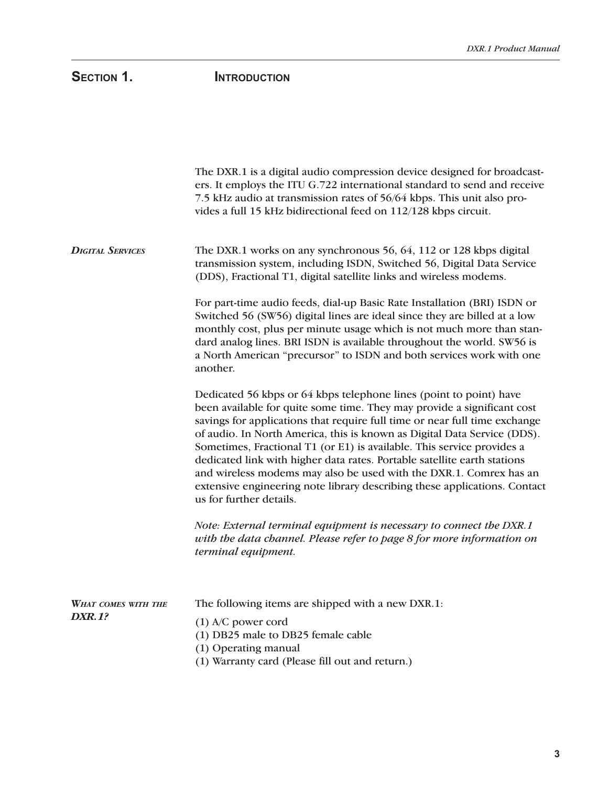# SECTION 1. **INTRODUCTION**

|                                      | The DXR.1 is a digital audio compression device designed for broadcast-<br>ers. It employs the ITU G.722 international standard to send and receive<br>7.5 kHz audio at transmission rates of 56/64 kbps. This unit also pro-<br>vides a full 15 kHz bidirectional feed on 112/128 kbps circuit.                                                                                                                                                                                                                                                                                                                                            |
|--------------------------------------|---------------------------------------------------------------------------------------------------------------------------------------------------------------------------------------------------------------------------------------------------------------------------------------------------------------------------------------------------------------------------------------------------------------------------------------------------------------------------------------------------------------------------------------------------------------------------------------------------------------------------------------------|
| <b>DIGITAL SERVICES</b>              | The DXR.1 works on any synchronous 56, 64, 112 or 128 kbps digital<br>transmission system, including ISDN, Switched 56, Digital Data Service<br>(DDS), Fractional T1, digital satellite links and wireless modems.                                                                                                                                                                                                                                                                                                                                                                                                                          |
|                                      | For part-time audio feeds, dial-up Basic Rate Installation (BRI) ISDN or<br>Switched 56 (SW56) digital lines are ideal since they are billed at a low<br>monthly cost, plus per minute usage which is not much more than stan-<br>dard analog lines. BRI ISDN is available throughout the world. SW56 is<br>a North American "precursor" to ISDN and both services work with one<br>another.                                                                                                                                                                                                                                                |
|                                      | Dedicated 56 kbps or 64 kbps telephone lines (point to point) have<br>been available for quite some time. They may provide a significant cost<br>savings for applications that require full time or near full time exchange<br>of audio. In North America, this is known as Digital Data Service (DDS).<br>Sometimes, Fractional T1 (or E1) is available. This service provides a<br>dedicated link with higher data rates. Portable satellite earth stations<br>and wireless modems may also be used with the DXR.1. Comrex has an<br>extensive engineering note library describing these applications. Contact<br>us for further details. |
|                                      | Note: External terminal equipment is necessary to connect the DXR.1<br>with the data channel. Please refer to page 8 for more information on<br>terminal equipment.                                                                                                                                                                                                                                                                                                                                                                                                                                                                         |
| WHAT COMES WITH THE<br><b>DXR.1?</b> | The following items are shipped with a new DXR.1:<br>$(1)$ A/C power cord<br>(1) DB25 male to DB25 female cable<br>(1) Operating manual<br>(1) Warranty card (Please fill out and return.)                                                                                                                                                                                                                                                                                                                                                                                                                                                  |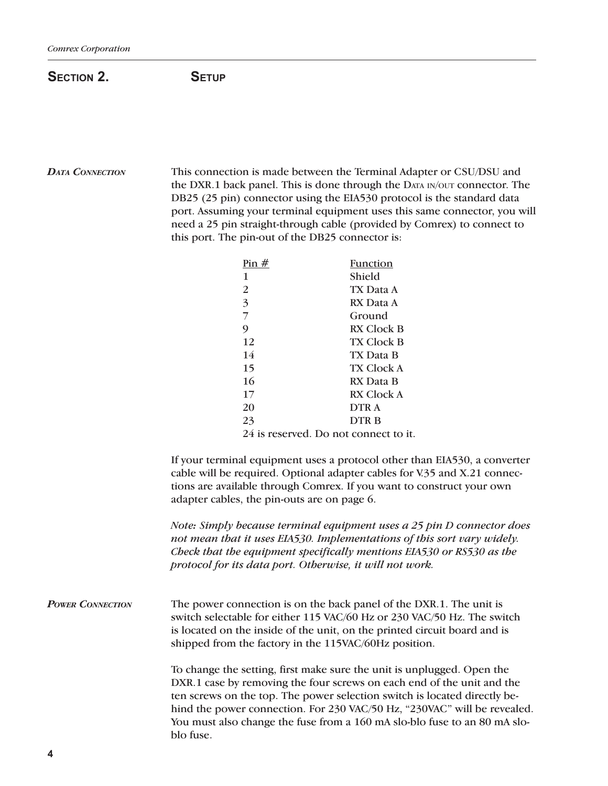## SECTION 2. SETUP

### *DATA CONNECTION* This connection is made between the Terminal Adapter or CSU/DSU and the DXR.1 back panel. This is done through the DATA IN/OUT connector. The DB25 (25 pin) connector using the EIA530 protocol is the standard data port. Assuming your terminal equipment uses this same connector, you will need a 25 pin straight-through cable (provided by Comrex) to connect to this port. The pin-out of the DB25 connector is:

|    | Pin $#$                               | Function    |
|----|---------------------------------------|-------------|
| 1  |                                       | Shield      |
| 2  |                                       | TX Data A   |
| 3  |                                       | RX Data A   |
|    |                                       | Ground      |
| 9  |                                       | RX Clock B  |
| 12 |                                       | TX Clock B  |
| 14 |                                       | TX Data B   |
| 15 |                                       | TX Clock A  |
| 16 |                                       | RX Data B   |
| 17 |                                       | RX Clock A  |
| 20 |                                       | DTR A       |
| 23 |                                       | <b>DTRB</b> |
|    | 24 is reserved. Do not connect to it. |             |

If your terminal equipment uses a protocol other than EIA530, a converter cable will be required. Optional adapter cables for V.35 and X.21 connections are available through Comrex. If you want to construct your own adapter cables, the pin-outs are on page 6.

*Note: Simply because terminal equipment uses a 25 pin D connector does not mean that it uses EIA530. Implementations of this sort vary widely. Check that the equipment specifically mentions EIA530 or RS530 as the protocol for its data port. Otherwise, it will not work.*

*POWER CONNECTION* The power connection is on the back panel of the DXR.1. The unit is switch selectable for either 115 VAC/60 Hz or 230 VAC/50 Hz. The switch is located on the inside of the unit, on the printed circuit board and is shipped from the factory in the 115VAC/60Hz position.

> To change the setting, first make sure the unit is unplugged. Open the DXR.1 case by removing the four screws on each end of the unit and the ten screws on the top. The power selection switch is located directly behind the power connection. For 230 VAC/50 Hz, "230VAC" will be revealed. You must also change the fuse from a 160 mA slo-blo fuse to an 80 mA sloblo fuse.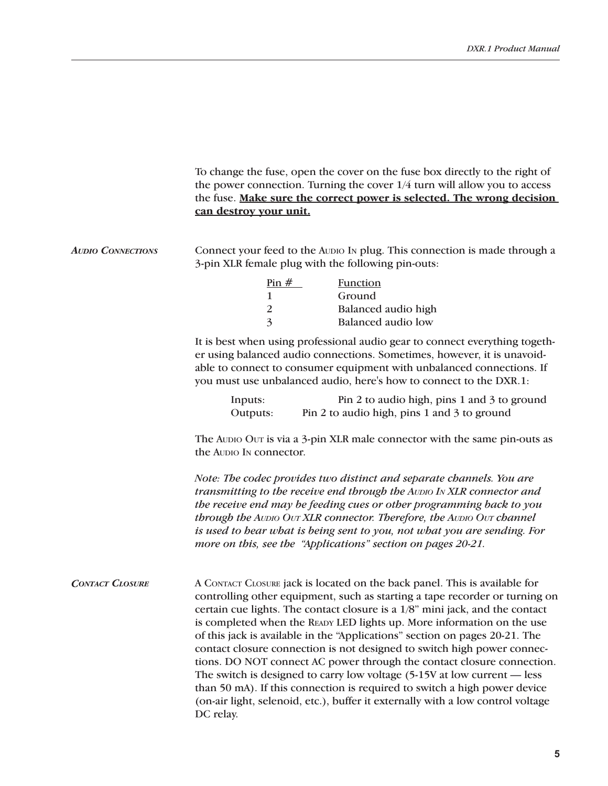|                          | To change the fuse, open the cover on the fuse box directly to the right of<br>the power connection. Turning the cover $1/4$ turn will allow you to access<br>the fuse. Make sure the correct power is selected. The wrong decision<br>can destroy your unit.                                                                                                                                                                                                                                                                                                                                                                                                                                                                                                                                                        |
|--------------------------|----------------------------------------------------------------------------------------------------------------------------------------------------------------------------------------------------------------------------------------------------------------------------------------------------------------------------------------------------------------------------------------------------------------------------------------------------------------------------------------------------------------------------------------------------------------------------------------------------------------------------------------------------------------------------------------------------------------------------------------------------------------------------------------------------------------------|
| <b>AUDIO CONNECTIONS</b> | Connect your feed to the Auplo In plug. This connection is made through a<br>3-pin XLR female plug with the following pin-outs:                                                                                                                                                                                                                                                                                                                                                                                                                                                                                                                                                                                                                                                                                      |
|                          | $\frac{\text{Pin H}}{\text{m}}$<br><b>Function</b><br>1<br>Ground<br>$\overline{2}$<br>Balanced audio high<br>3<br><b>Balanced audio low</b>                                                                                                                                                                                                                                                                                                                                                                                                                                                                                                                                                                                                                                                                         |
|                          | It is best when using professional audio gear to connect everything togeth-<br>er using balanced audio connections. Sometimes, however, it is unavoid-<br>able to connect to consumer equipment with unbalanced connections. If<br>you must use unbalanced audio, here's how to connect to the DXR.1:                                                                                                                                                                                                                                                                                                                                                                                                                                                                                                                |
|                          | Pin 2 to audio high, pins 1 and 3 to ground<br>Inputs:<br>Pin 2 to audio high, pins 1 and 3 to ground<br>Outputs:                                                                                                                                                                                                                                                                                                                                                                                                                                                                                                                                                                                                                                                                                                    |
|                          | The Aupio Our is via a 3-pin XLR male connector with the same pin-outs as<br>the Audio In connector.                                                                                                                                                                                                                                                                                                                                                                                                                                                                                                                                                                                                                                                                                                                 |
|                          | Note: The codec provides two distinct and separate channels. You are<br>transmitting to the receive end through the AUDIO IN XLR connector and<br>the receive end may be feeding cues or other programming back to you<br>through the AUDIO OUT XLR connector. Therefore, the AUDIO OUT channel<br>is used to bear what is being sent to you, not what you are sending. For<br>more on this, see the "Applications" section on pages 20-21.                                                                                                                                                                                                                                                                                                                                                                          |
| <b>CONTACT CLOSURE</b>   | A CONTACT CLOSURE jack is located on the back panel. This is available for<br>controlling other equipment, such as starting a tape recorder or turning on<br>certain cue lights. The contact closure is a 1/8" mini jack, and the contact<br>is completed when the READY LED lights up. More information on the use<br>of this jack is available in the "Applications" section on pages 20-21. The<br>contact closure connection is not designed to switch high power connec-<br>tions. DO NOT connect AC power through the contact closure connection.<br>The switch is designed to carry low voltage $(5-15V$ at low current $-$ less<br>than 50 mA). If this connection is required to switch a high power device<br>(on-air light, selenoid, etc.), buffer it externally with a low control voltage<br>DC relay. |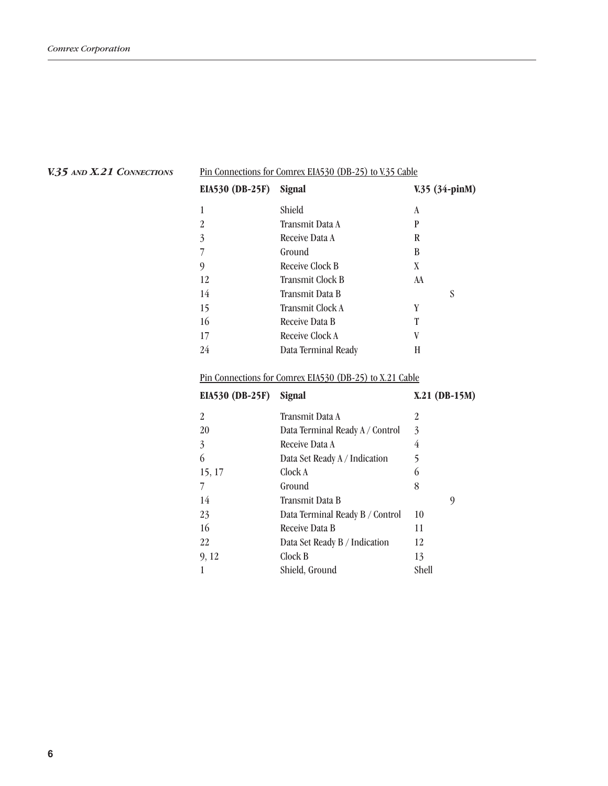| <b>EIA530 (DB-25F)</b> | Signal                  | $V.35$ (34-pinM) |
|------------------------|-------------------------|------------------|
| 1                      | Shield                  | A                |
| 2                      | Transmit Data A         | P                |
| 3                      | Receive Data A          | R                |
| 7                      | Ground                  | B                |
| 9                      | Receive Clock B         | X                |
| 12                     | <b>Transmit Clock B</b> | AA               |
| 14                     | Transmit Data B         | S                |
| 15                     | Transmit Clock A        | Y                |
| 16                     | <b>Receive Data B</b>   | T                |
| 17                     | Receive Clock A         | V                |
| 24                     | Data Terminal Ready     | Н                |

Pin Connections for Comrex EIA530 (DB-25) to V.35 Cable

#### *V.35 AND X.21 CONNECTIONS*

### Pin Connections for Comrex EIA530 (DB-25) to X.21 Cable

| EIA530 (DB-25F) | <b>Signal</b>                   | $X.21$ (DB-15M) |
|-----------------|---------------------------------|-----------------|
| $\overline{2}$  | Transmit Data A                 | 2               |
| 20              | Data Terminal Ready A / Control | 3               |
| 3               | Receive Data A                  | 4               |
| 6               | Data Set Ready A / Indication   | 5               |
| 15, 17          | Clock A                         | 6               |
|                 | Ground                          | 8               |
| 14              | Transmit Data B                 | 9               |
| 23              | Data Terminal Ready B / Control | 10              |
| 16              | Receive Data B                  | 11              |
| 22              | Data Set Ready B / Indication   | 12              |
| 9, 12           | Clock B                         | 13              |
|                 | Shield, Ground                  | Shell           |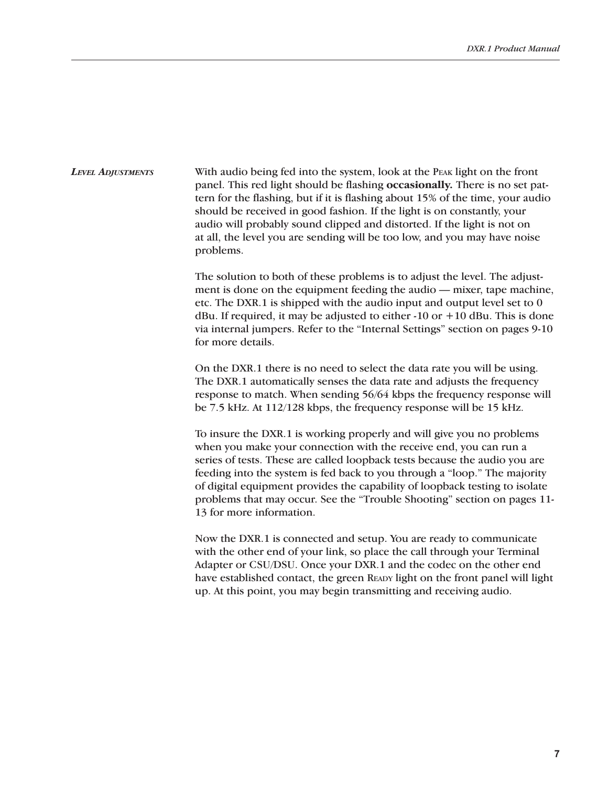With audio being fed into the system, look at the PEAK light on the front panel. This red light should be flashing **occasionally.** There is no set pattern for the flashing, but if it is flashing about 15% of the time, your audio should be received in good fashion. If the light is on constantly, your audio will probably sound clipped and distorted. If the light is not on at all, the level you are sending will be too low, and you may have noise problems. *LEVEL ADJUSTMENTS*

> The solution to both of these problems is to adjust the level. The adjustment is done on the equipment feeding the audio — mixer, tape machine, etc. The DXR.1 is shipped with the audio input and output level set to 0 dBu. If required, it may be adjusted to either  $-10$  or  $+10$  dBu. This is done via internal jumpers. Refer to the "Internal Settings" section on pages 9-10 for more details.

> On the DXR.1 there is no need to select the data rate you will be using. The DXR.1 automatically senses the data rate and adjusts the frequency response to match. When sending 56/64 kbps the frequency response will be 7.5 kHz. At 112/128 kbps, the frequency response will be 15 kHz.

> To insure the DXR.1 is working properly and will give you no problems when you make your connection with the receive end, you can run a series of tests. These are called loopback tests because the audio you are feeding into the system is fed back to you through a "loop." The majority of digital equipment provides the capability of loopback testing to isolate problems that may occur. See the "Trouble Shooting" section on pages 11- 13 for more information.

> Now the DXR.1 is connected and setup. You are ready to communicate with the other end of your link, so place the call through your Terminal Adapter or CSU/DSU. Once your DXR.1 and the codec on the other end have established contact, the green READY light on the front panel will light up. At this point, you may begin transmitting and receiving audio.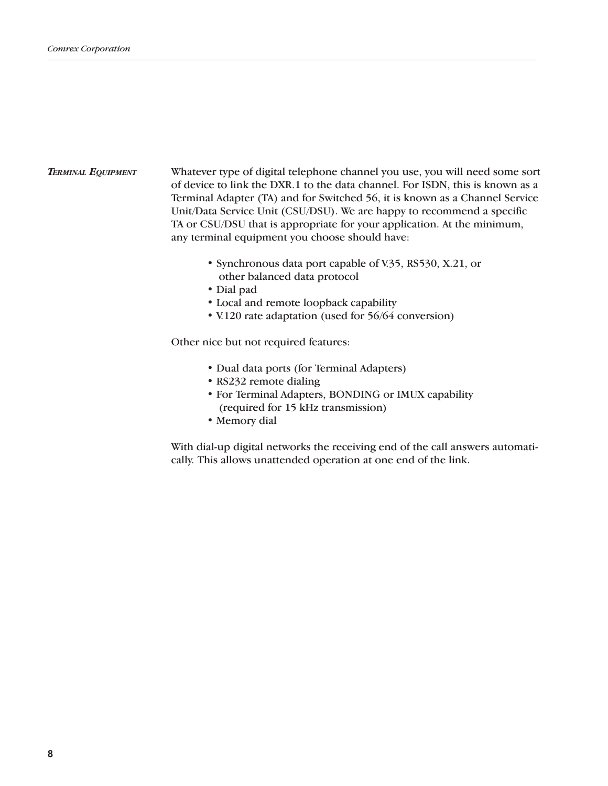#### Whatever type of digital telephone channel you use, you will need some sort of device to link the DXR.1 to the data channel. For ISDN, this is known as a Terminal Adapter (TA) and for Switched 56, it is known as a Channel Service Unit/Data Service Unit (CSU/DSU). We are happy to recommend a specific TA or CSU/DSU that is appropriate for your application. At the minimum, any terminal equipment you choose should have: *TERMINAL EQUIPMENT*

- Synchronous data port capable of V.35, RS530, X.21, or other balanced data protocol
- Dial pad
- Local and remote loopback capability
- V.120 rate adaptation (used for 56/64 conversion)

Other nice but not required features:

- Dual data ports (for Terminal Adapters)
- RS232 remote dialing
- For Terminal Adapters, BONDING or IMUX capability (required for 15 kHz transmission)
- Memory dial

With dial-up digital networks the receiving end of the call answers automatically. This allows unattended operation at one end of the link.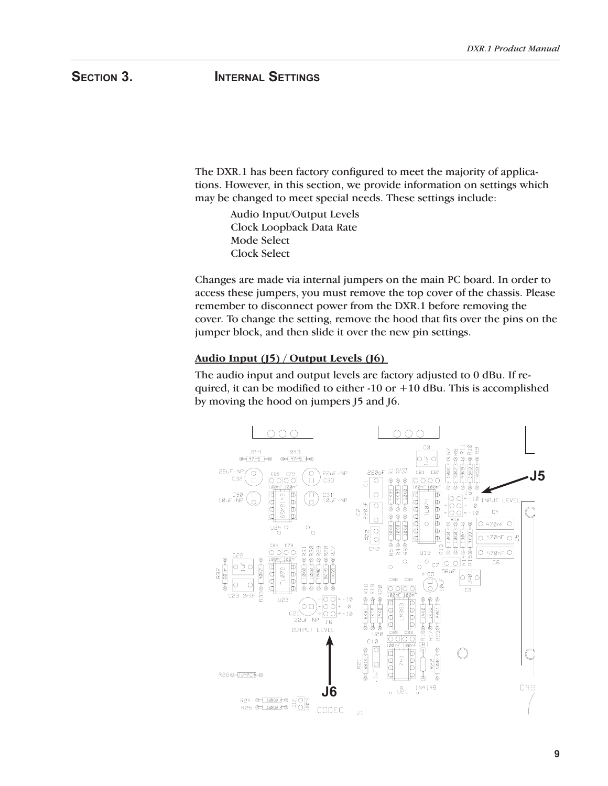# SECTION 3. **INTERNAL SETTINGS**

The DXR.1 has been factory configured to meet the majority of applications. However, in this section, we provide information on settings which may be changed to meet special needs. These settings include:

 Audio Input/Output Levels Clock Loopback Data Rate Mode Select Clock Select

Changes are made via internal jumpers on the main PC board. In order to access these jumpers, you must remove the top cover of the chassis. Please remember to disconnect power from the DXR.1 before removing the cover. To change the setting, remove the hood that fits over the pins on the jumper block, and then slide it over the new pin settings.

#### **Audio Input (J5) / Output Levels (J6)**

The audio input and output levels are factory adjusted to 0 dBu. If required, it can be modified to either  $-10$  or  $+10$  dBu. This is accomplished by moving the hood on jumpers J5 and J6.

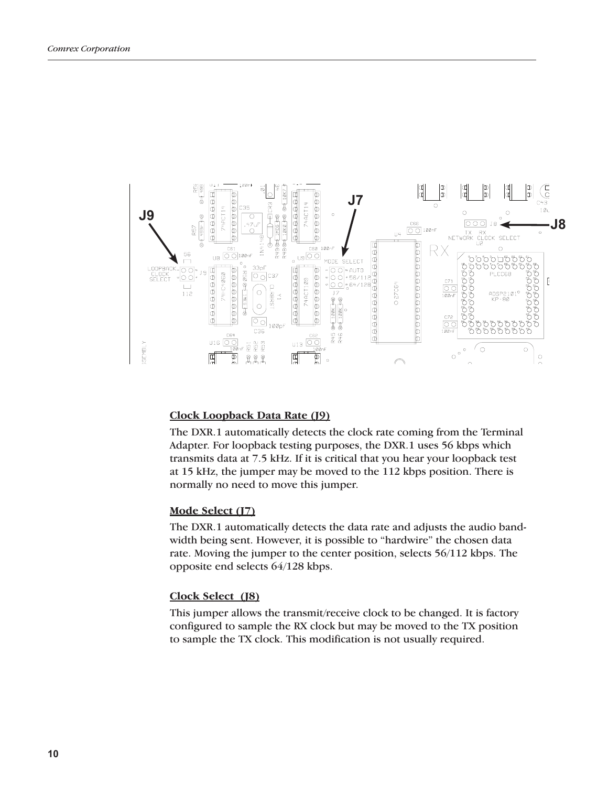

#### **Clock Loopback Data Rate (J9)**

The DXR.1 automatically detects the clock rate coming from the Terminal Adapter. For loopback testing purposes, the DXR.1 uses 56 kbps which transmits data at 7.5 kHz. If it is critical that you hear your loopback test at 15 kHz, the jumper may be moved to the 112 kbps position. There is normally no need to move this jumper.

#### **Mode Select (J7)**

The DXR.1 automatically detects the data rate and adjusts the audio bandwidth being sent. However, it is possible to "hardwire" the chosen data rate. Moving the jumper to the center position, selects 56/112 kbps. The opposite end selects 64/128 kbps.

#### **Clock Select (J8)**

This jumper allows the transmit/receive clock to be changed. It is factory configured to sample the RX clock but may be moved to the TX position to sample the TX clock. This modification is not usually required.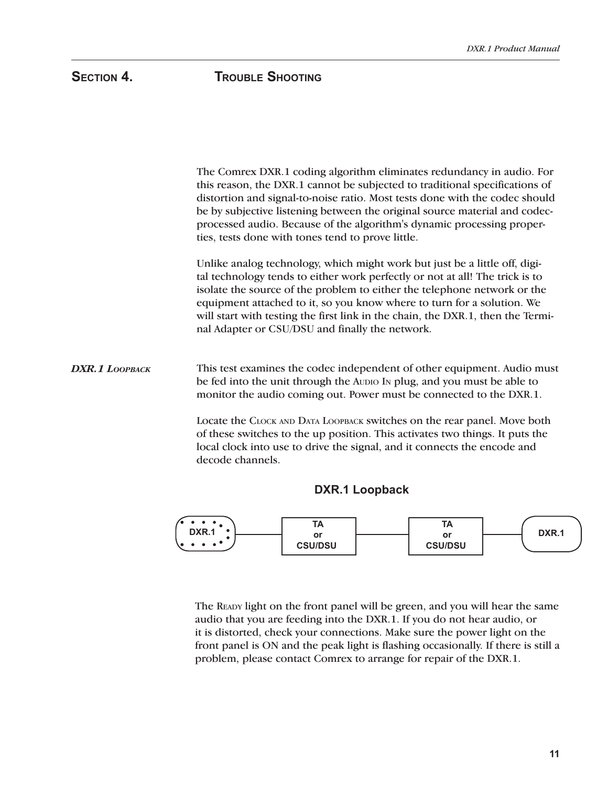The Comrex DXR.1 coding algorithm eliminates redundancy in audio. For this reason, the DXR.1 cannot be subjected to traditional specifications of distortion and signal-to-noise ratio. Most tests done with the codec should be by subjective listening between the original source material and codecprocessed audio. Because of the algorithm's dynamic processing properties, tests done with tones tend to prove little. Unlike analog technology, which might work but just be a little off, digital technology tends to either work perfectly or not at all! The trick is to isolate the source of the problem to either the telephone network or the equipment attached to it, so you know where to turn for a solution. We will start with testing the first link in the chain, the DXR.1, then the Terminal Adapter or CSU/DSU and finally the network. This test examines the codec independent of other equipment. Audio must be fed into the unit through the AUDIO IN plug, and you must be able to monitor the audio coming out. Power must be connected to the DXR.1. Locate the CLOCK AND DATA LOOPBACK switches on the rear panel. Move both of these switches to the up position. This activates two things. It puts the local clock into use to drive the signal, and it connects the encode and decode channels. *DXR.1 LOOPBACK*

#### **DXR.1 Loopback**



The READY light on the front panel will be green, and you will hear the same audio that you are feeding into the DXR.1. If you do not hear audio, or it is distorted, check your connections. Make sure the power light on the front panel is ON and the peak light is flashing occasionally. If there is still a problem, please contact Comrex to arrange for repair of the DXR.1.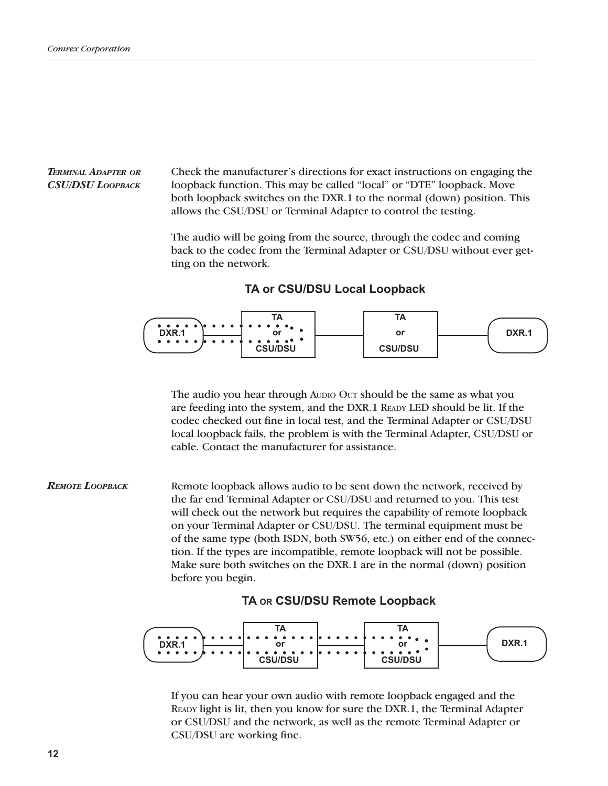#### *TERMINAL ADAPTER OR CSU/DSU LOOPBACK*

Check the manufacturer's directions for exact instructions on engaging the loopback function. This may be called "local" or "DTE" loopback. Move both loopback switches on the DXR.1 to the normal (down) position. This allows the CSU/DSU or Terminal Adapter to control the testing.

The audio will be going from the source, through the codec and coming back to the codec from the Terminal Adapter or CSU/DSU without ever getting on the network.

**TA or CSU/DSU Local Loopback**



The audio you hear through AUDIO OUT should be the same as what you are feeding into the system, and the DXR.1 READY LED should be lit. If the codec checked out fine in local test, and the Terminal Adapter or CSU/DSU local loopback fails, the problem is with the Terminal Adapter, CSU/DSU or cable. Contact the manufacturer for assistance.

Remote loopback allows audio to be sent down the network, received by the far end Terminal Adapter or CSU/DSU and returned to you. This test will check out the network but requires the capability of remote loopback on your Terminal Adapter or CSU/DSU. The terminal equipment must be of the same type (both ISDN, both SW56, etc.) on either end of the connection. If the types are incompatible, remote loopback will not be possible. Make sure both switches on the DXR.1 are in the normal (down) position before you begin. *REMOTE LOOPBACK*

#### **TA OR CSU/DSU Remote Loopback**



If you can hear your own audio with remote loopback engaged and the READY light is lit, then you know for sure the DXR.1, the Terminal Adapter or CSU/DSU and the network, as well as the remote Terminal Adapter or CSU/DSU are working fine.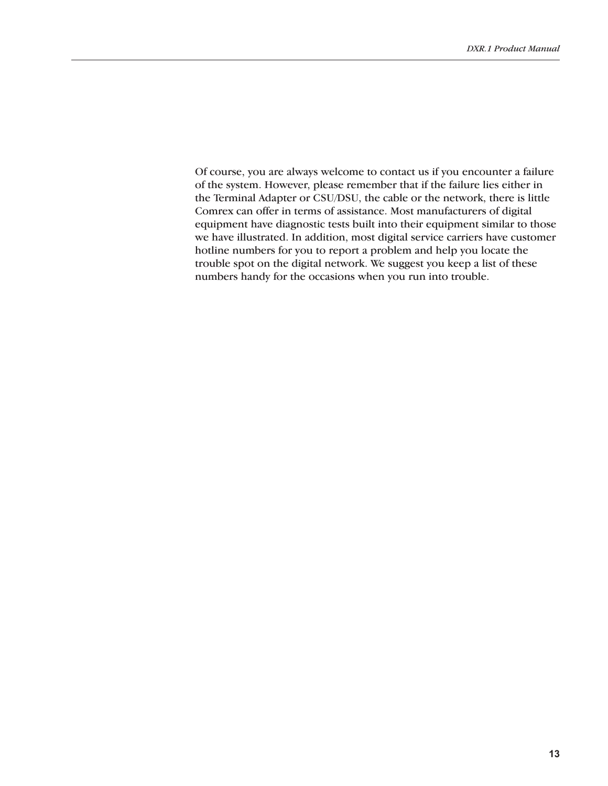Of course, you are always welcome to contact us if you encounter a failure of the system. However, please remember that if the failure lies either in the Terminal Adapter or CSU/DSU, the cable or the network, there is little Comrex can offer in terms of assistance. Most manufacturers of digital equipment have diagnostic tests built into their equipment similar to those we have illustrated. In addition, most digital service carriers have customer hotline numbers for you to report a problem and help you locate the trouble spot on the digital network. We suggest you keep a list of these numbers handy for the occasions when you run into trouble.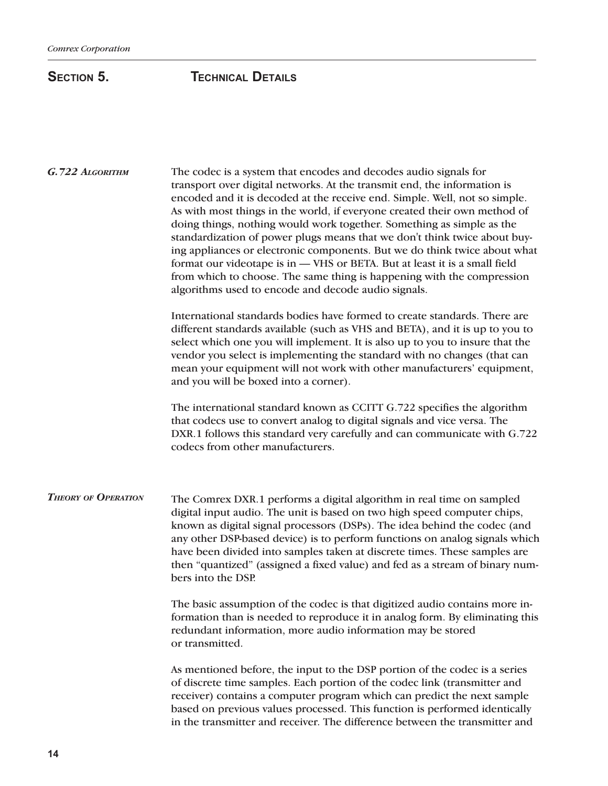# **SECTION 5. TECHNICAL DETAILS**

| G.722 ALGORITHM | The codec is a system that encodes and decodes audio signals for<br>transport over digital networks. At the transmit end, the information is<br>encoded and it is decoded at the receive end. Simple. Well, not so simple.<br>As with most things in the world, if everyone created their own method of<br>doing things, nothing would work together. Something as simple as the<br>standardization of power plugs means that we don't think twice about buy-<br>ing appliances or electronic components. But we do think twice about what<br>format our videotape is in - VHS or BETA. But at least it is a small field<br>from which to choose. The same thing is happening with the compression<br>algorithms used to encode and decode audio signals.<br>International standards bodies have formed to create standards. There are<br>different standards available (such as VHS and BETA), and it is up to you to<br>select which one you will implement. It is also up to you to insure that the<br>vendor you select is implementing the standard with no changes (that can<br>mean your equipment will not work with other manufacturers' equipment,<br>and you will be boxed into a corner). |                                                                                                                                                                                                                                                                                                                                                                                                                                                                                                  |  |
|-----------------|-------------------------------------------------------------------------------------------------------------------------------------------------------------------------------------------------------------------------------------------------------------------------------------------------------------------------------------------------------------------------------------------------------------------------------------------------------------------------------------------------------------------------------------------------------------------------------------------------------------------------------------------------------------------------------------------------------------------------------------------------------------------------------------------------------------------------------------------------------------------------------------------------------------------------------------------------------------------------------------------------------------------------------------------------------------------------------------------------------------------------------------------------------------------------------------------------------|--------------------------------------------------------------------------------------------------------------------------------------------------------------------------------------------------------------------------------------------------------------------------------------------------------------------------------------------------------------------------------------------------------------------------------------------------------------------------------------------------|--|
|                 |                                                                                                                                                                                                                                                                                                                                                                                                                                                                                                                                                                                                                                                                                                                                                                                                                                                                                                                                                                                                                                                                                                                                                                                                       |                                                                                                                                                                                                                                                                                                                                                                                                                                                                                                  |  |
|                 | <b>THEORY OF OPERATION</b>                                                                                                                                                                                                                                                                                                                                                                                                                                                                                                                                                                                                                                                                                                                                                                                                                                                                                                                                                                                                                                                                                                                                                                            | The Comrex DXR.1 performs a digital algorithm in real time on sampled<br>digital input audio. The unit is based on two high speed computer chips,<br>known as digital signal processors (DSPs). The idea behind the codec (and<br>any other DSP-based device) is to perform functions on analog signals which<br>have been divided into samples taken at discrete times. These samples are<br>then "quantized" (assigned a fixed value) and fed as a stream of binary num-<br>bers into the DSP. |  |
|                 | The basic assumption of the codec is that digitized audio contains more in-<br>formation than is needed to reproduce it in analog form. By eliminating this<br>redundant information, more audio information may be stored<br>or transmitted.                                                                                                                                                                                                                                                                                                                                                                                                                                                                                                                                                                                                                                                                                                                                                                                                                                                                                                                                                         |                                                                                                                                                                                                                                                                                                                                                                                                                                                                                                  |  |
|                 | As mentioned before, the input to the DSP portion of the codec is a series<br>of discrete time samples. Each portion of the codec link (transmitter and<br>receiver) contains a computer program which can predict the next sample<br>based on previous values processed. This function is performed identically<br>in the transmitter and receiver. The difference between the transmitter and                                                                                                                                                                                                                                                                                                                                                                                                                                                                                                                                                                                                                                                                                                                                                                                                       |                                                                                                                                                                                                                                                                                                                                                                                                                                                                                                  |  |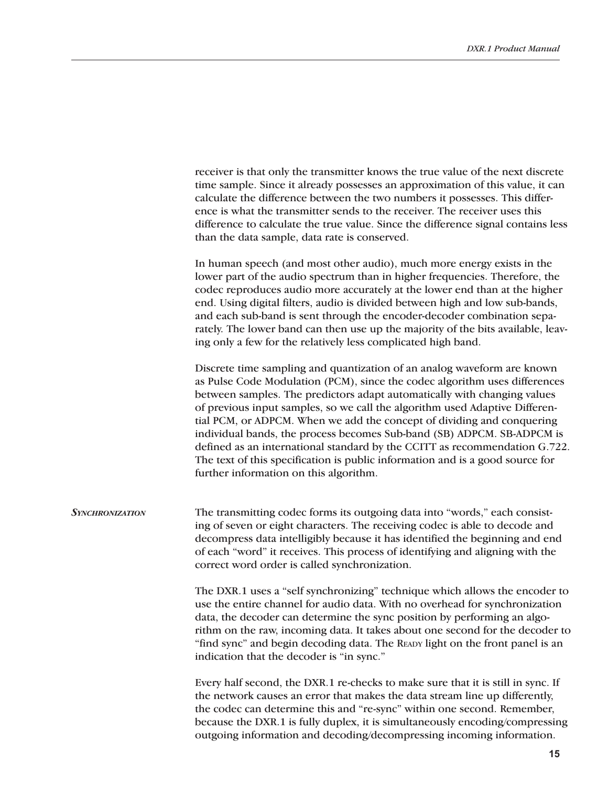|                        | time sample. Since it already possesses an approximation of this value, it can<br>calculate the difference between the two numbers it possesses. This differ-<br>ence is what the transmitter sends to the receiver. The receiver uses this<br>difference to calculate the true value. Since the difference signal contains less<br>than the data sample, data rate is conserved.                                                                                                                                                                                                                                                                                             |
|------------------------|-------------------------------------------------------------------------------------------------------------------------------------------------------------------------------------------------------------------------------------------------------------------------------------------------------------------------------------------------------------------------------------------------------------------------------------------------------------------------------------------------------------------------------------------------------------------------------------------------------------------------------------------------------------------------------|
|                        | In human speech (and most other audio), much more energy exists in the<br>lower part of the audio spectrum than in higher frequencies. Therefore, the<br>codec reproduces audio more accurately at the lower end than at the higher<br>end. Using digital filters, audio is divided between high and low sub-bands,<br>and each sub-band is sent through the encoder-decoder combination sepa-<br>rately. The lower band can then use up the majority of the bits available, leav-<br>ing only a few for the relatively less complicated high band.                                                                                                                           |
|                        | Discrete time sampling and quantization of an analog waveform are known<br>as Pulse Code Modulation (PCM), since the codec algorithm uses differences<br>between samples. The predictors adapt automatically with changing values<br>of previous input samples, so we call the algorithm used Adaptive Differen-<br>tial PCM, or ADPCM. When we add the concept of dividing and conquering<br>individual bands, the process becomes Sub-band (SB) ADPCM. SB-ADPCM is<br>defined as an international standard by the CCITT as recommendation G.722.<br>The text of this specification is public information and is a good source for<br>further information on this algorithm. |
| <b>SYNCHRONIZATION</b> | The transmitting codec forms its outgoing data into "words," each consist-<br>ing of seven or eight characters. The receiving codec is able to decode and<br>decompress data intelligibly because it has identified the beginning and end<br>of each "word" it receives. This process of identifying and aligning with the<br>correct word order is called synchronization.                                                                                                                                                                                                                                                                                                   |
|                        | The DXR.1 uses a "self synchronizing" technique which allows the encoder to<br>use the entire channel for audio data. With no overhead for synchronization<br>data, the decoder can determine the sync position by performing an algo-<br>rithm on the raw, incoming data. It takes about one second for the decoder to<br>"find sync" and begin decoding data. The READY light on the front panel is an<br>indication that the decoder is "in sync."                                                                                                                                                                                                                         |
|                        | Every half second, the DXR.1 re-checks to make sure that it is still in sync. If<br>the network causes an error that makes the data stream line up differently,<br>the codec can determine this and "re-sync" within one second. Remember,<br>because the DXR.1 is fully duplex, it is simultaneously encoding/compressing<br>outgoing information and decoding/decompressing incoming information.                                                                                                                                                                                                                                                                           |

receiver is that only the transmitter knows the true value of the next discrete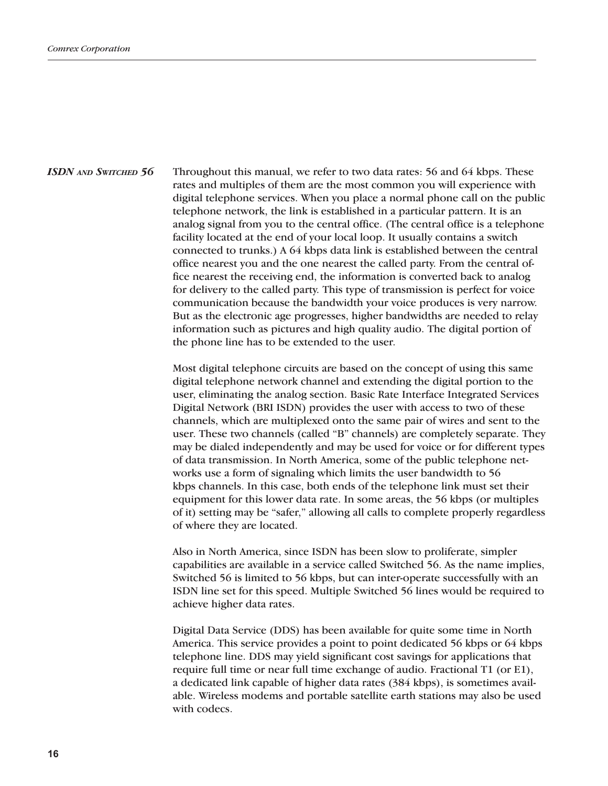*ISDN AND SWITCHED 56* Throughout this manual, we refer to two data rates: 56 and 64 kbps. These rates and multiples of them are the most common you will experience with digital telephone services. When you place a normal phone call on the public telephone network, the link is established in a particular pattern. It is an analog signal from you to the central office. (The central office is a telephone facility located at the end of your local loop. It usually contains a switch connected to trunks.) A 64 kbps data link is established between the central office nearest you and the one nearest the called party. From the central office nearest the receiving end, the information is converted back to analog for delivery to the called party. This type of transmission is perfect for voice communication because the bandwidth your voice produces is very narrow. But as the electronic age progresses, higher bandwidths are needed to relay information such as pictures and high quality audio. The digital portion of the phone line has to be extended to the user.

> Most digital telephone circuits are based on the concept of using this same digital telephone network channel and extending the digital portion to the user, eliminating the analog section. Basic Rate Interface Integrated Services Digital Network (BRI ISDN) provides the user with access to two of these channels, which are multiplexed onto the same pair of wires and sent to the user. These two channels (called "B" channels) are completely separate. They may be dialed independently and may be used for voice or for different types of data transmission. In North America, some of the public telephone networks use a form of signaling which limits the user bandwidth to 56 kbps channels. In this case, both ends of the telephone link must set their equipment for this lower data rate. In some areas, the 56 kbps (or multiples of it) setting may be "safer," allowing all calls to complete properly regardless of where they are located.

> Also in North America, since ISDN has been slow to proliferate, simpler capabilities are available in a service called Switched 56. As the name implies, Switched 56 is limited to 56 kbps, but can inter-operate successfully with an ISDN line set for this speed. Multiple Switched 56 lines would be required to achieve higher data rates.

> Digital Data Service (DDS) has been available for quite some time in North America. This service provides a point to point dedicated 56 kbps or 64 kbps telephone line. DDS may yield significant cost savings for applications that require full time or near full time exchange of audio. Fractional T1 (or E1), a dedicated link capable of higher data rates (384 kbps), is sometimes available. Wireless modems and portable satellite earth stations may also be used with codecs.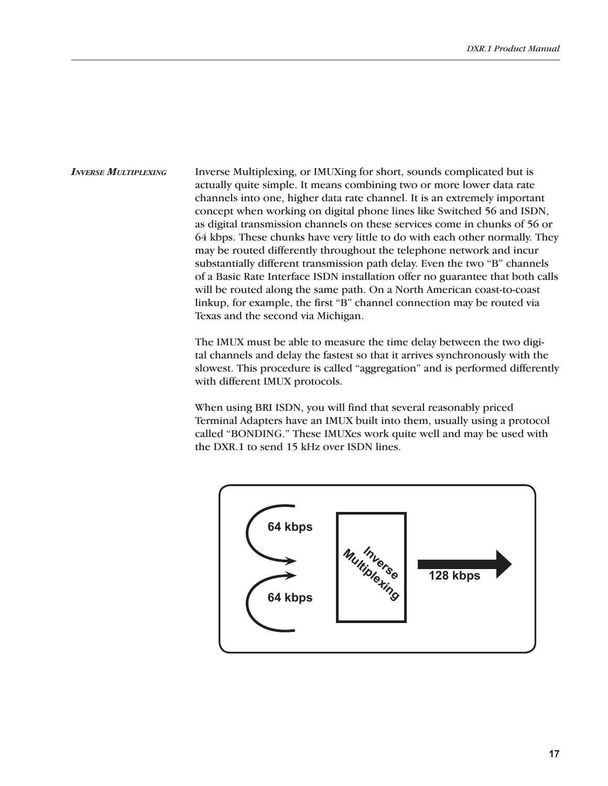*INVERSE MULTIPLEXING* Inverse Multiplexing, or IMUXing for short, sounds complicated but is actually quite simple. It means combining two or more lower data rate channels into one, higher data rate channel. It is an extremely important concept when working on digital phone lines like Switched 56 and ISDN, as digital transmission channels on these services come in chunks of 56 or 64 kbps. These chunks have very little to do with each other normally. They may be routed differently throughout the telephone network and incur substantially different transmission path delay. Even the two "B" channels of a Basic Rate Interface ISDN installation offer no guarantee that both calls will be routed along the same path. On a North American coast-to-coast linkup, for example, the first "B" channel connection may be routed via Texas and the second via Michigan.

> The IMUX must be able to measure the time delay between the two digital channels and delay the fastest so that it arrives synchronously with the slowest. This procedure is called "aggregation" and is performed differently with different IMUX protocols.

When using BRI ISDN, you will find that several reasonably priced Terminal Adapters have an IMUX built into them, usually using a protocol called "BONDING." These IMUXes work quite well and may be used with the DXR.1 to send 15 kHz over ISDN lines.

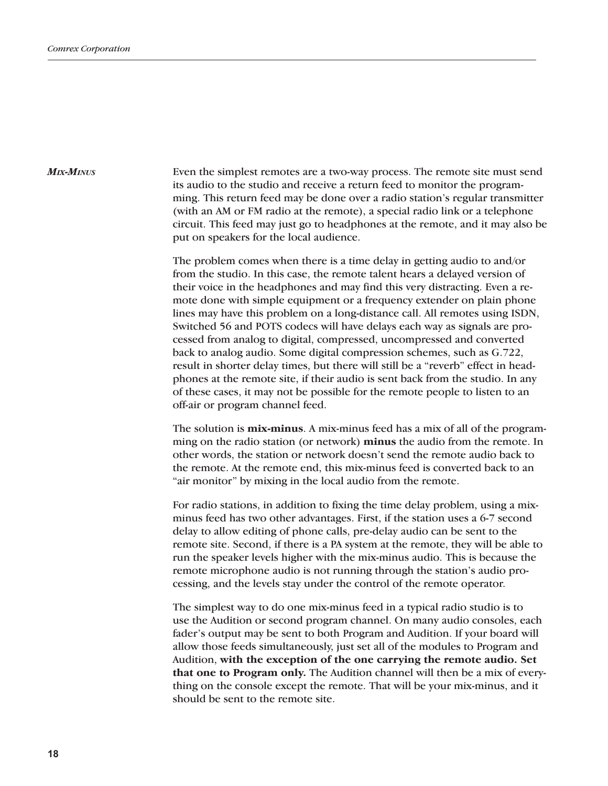*MIX-MINUS*

Even the simplest remotes are a two-way process. The remote site must send its audio to the studio and receive a return feed to monitor the programming. This return feed may be done over a radio station's regular transmitter (with an AM or FM radio at the remote), a special radio link or a telephone circuit. This feed may just go to headphones at the remote, and it may also be put on speakers for the local audience.

The problem comes when there is a time delay in getting audio to and/or from the studio. In this case, the remote talent hears a delayed version of their voice in the headphones and may find this very distracting. Even a remote done with simple equipment or a frequency extender on plain phone lines may have this problem on a long-distance call. All remotes using ISDN, Switched 56 and POTS codecs will have delays each way as signals are processed from analog to digital, compressed, uncompressed and converted back to analog audio. Some digital compression schemes, such as G.722, result in shorter delay times, but there will still be a "reverb" effect in headphones at the remote site, if their audio is sent back from the studio. In any of these cases, it may not be possible for the remote people to listen to an off-air or program channel feed.

The solution is **mix-minus**. A mix-minus feed has a mix of all of the programming on the radio station (or network) **minus** the audio from the remote. In other words, the station or network doesn't send the remote audio back to the remote. At the remote end, this mix-minus feed is converted back to an "air monitor" by mixing in the local audio from the remote.

For radio stations, in addition to fixing the time delay problem, using a mixminus feed has two other advantages. First, if the station uses a 6-7 second delay to allow editing of phone calls, pre-delay audio can be sent to the remote site. Second, if there is a PA system at the remote, they will be able to run the speaker levels higher with the mix-minus audio. This is because the remote microphone audio is not running through the station's audio processing, and the levels stay under the control of the remote operator.

The simplest way to do one mix-minus feed in a typical radio studio is to use the Audition or second program channel. On many audio consoles, each fader's output may be sent to both Program and Audition. If your board will allow those feeds simultaneously, just set all of the modules to Program and Audition, **with the exception of the one carrying the remote audio. Set that one to Program only.** The Audition channel will then be a mix of everything on the console except the remote. That will be your mix-minus, and it should be sent to the remote site.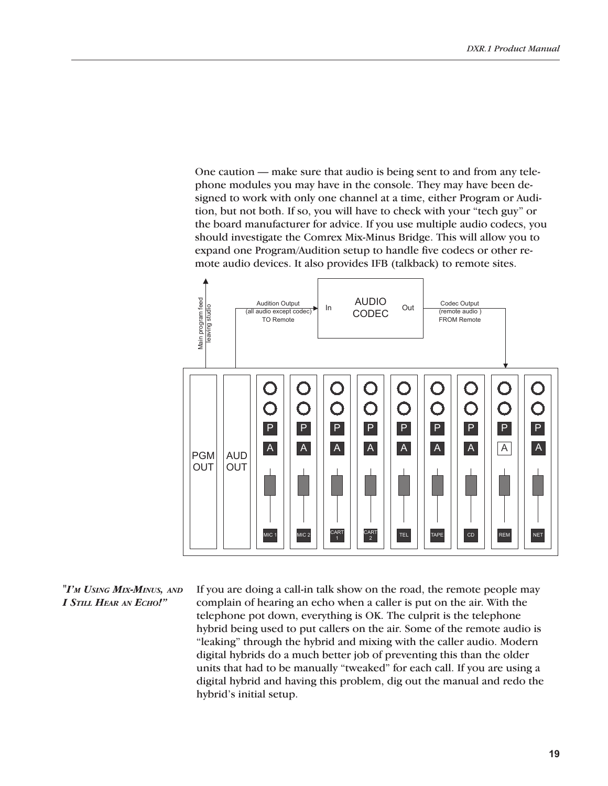One caution — make sure that audio is being sent to and from any telephone modules you may have in the console. They may have been designed to work with only one channel at a time, either Program or Audition, but not both. If so, you will have to check with your "tech guy" or the board manufacturer for advice. If you use multiple audio codecs, you should investigate the Comrex Mix-Minus Bridge. This will allow you to expand one Program/Audition setup to handle five codecs or other remote audio devices. It also provides IFB (talkback) to remote sites.



*"I'M USING MIX-MINUS, AND I STILL HEAR AN ECHO!"*

If you are doing a call-in talk show on the road, the remote people may complain of hearing an echo when a caller is put on the air. With the telephone pot down, everything is OK. The culprit is the telephone hybrid being used to put callers on the air. Some of the remote audio is "leaking" through the hybrid and mixing with the caller audio. Modern digital hybrids do a much better job of preventing this than the older units that had to be manually "tweaked" for each call. If you are using a digital hybrid and having this problem, dig out the manual and redo the hybrid's initial setup.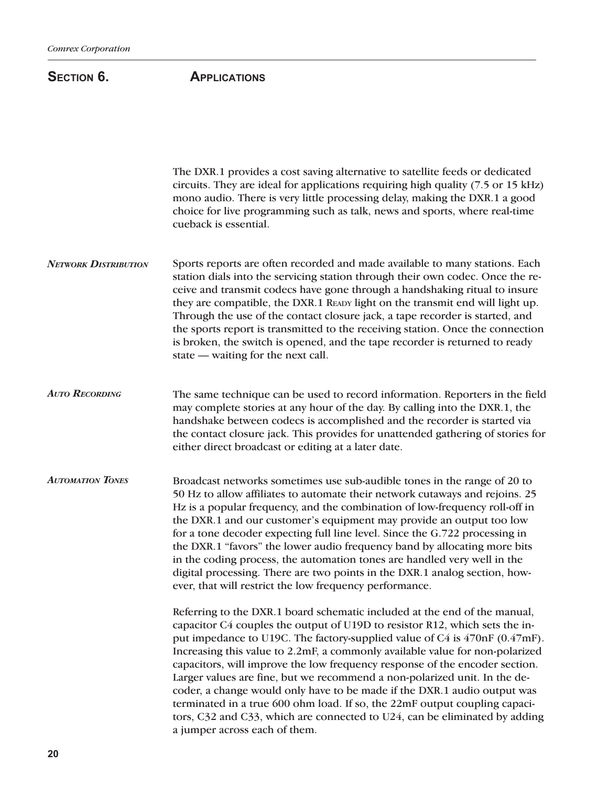### SECTION 6. **APPLICATIONS**

The DXR.1 provides a cost saving alternative to satellite feeds or dedicated circuits. They are ideal for applications requiring high quality (7.5 or 15 kHz) mono audio. There is very little processing delay, making the DXR.1 a good choice for live programming such as talk, news and sports, where real-time cueback is essential.

Sports reports are often recorded and made available to many stations. Each station dials into the servicing station through their own codec. Once the receive and transmit codecs have gone through a handshaking ritual to insure they are compatible, the DXR.1 READY light on the transmit end will light up. Through the use of the contact closure jack, a tape recorder is started, and the sports report is transmitted to the receiving station. Once the connection is broken, the switch is opened, and the tape recorder is returned to ready state — waiting for the next call. *NETWORK DISTRIBUTION*

The same technique can be used to record information. Reporters in the field may complete stories at any hour of the day. By calling into the DXR.1, the handshake between codecs is accomplished and the recorder is started via the contact closure jack. This provides for unattended gathering of stories for either direct broadcast or editing at a later date. *AUTO RECORDING*

Broadcast networks sometimes use sub-audible tones in the range of 20 to 50 Hz to allow affiliates to automate their network cutaways and rejoins. 25 Hz is a popular frequency, and the combination of low-frequency roll-off in the DXR.1 and our customer's equipment may provide an output too low for a tone decoder expecting full line level. Since the G.722 processing in the DXR.1 "favors" the lower audio frequency band by allocating more bits in the coding process, the automation tones are handled very well in the digital processing. There are two points in the DXR.1 analog section, however, that will restrict the low frequency performance. *AUTOMATION TONES*

> Referring to the DXR.1 board schematic included at the end of the manual, capacitor C4 couples the output of U19D to resistor R12, which sets the input impedance to U19C. The factory-supplied value of C4 is 470nF (0.47mF). Increasing this value to 2.2mF, a commonly available value for non-polarized capacitors, will improve the low frequency response of the encoder section. Larger values are fine, but we recommend a non-polarized unit. In the decoder, a change would only have to be made if the DXR.1 audio output was terminated in a true 600 ohm load. If so, the 22mF output coupling capacitors, C32 and C33, which are connected to U24, can be eliminated by adding a jumper across each of them.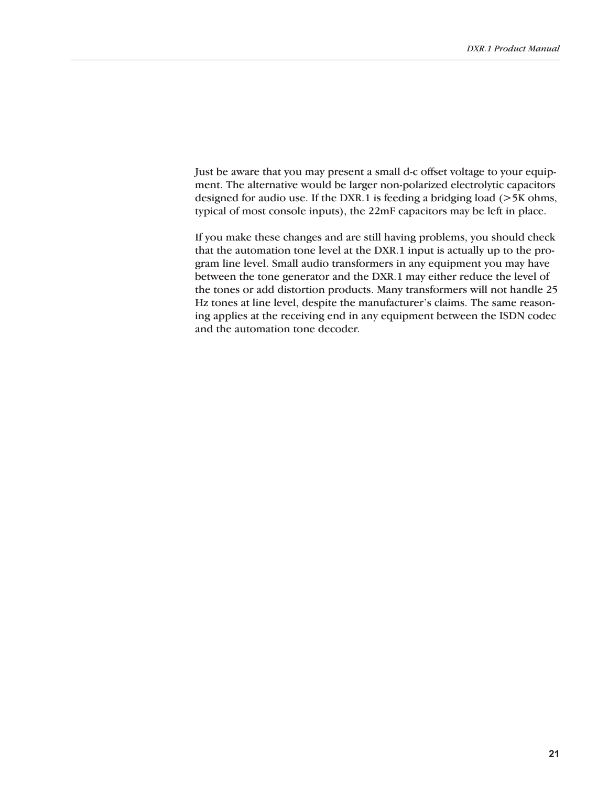Just be aware that you may present a small d-c offset voltage to your equipment. The alternative would be larger non-polarized electrolytic capacitors designed for audio use. If the DXR.1 is feeding a bridging load (>5K ohms, typical of most console inputs), the 22mF capacitors may be left in place.

If you make these changes and are still having problems, you should check that the automation tone level at the DXR.1 input is actually up to the program line level. Small audio transformers in any equipment you may have between the tone generator and the DXR.1 may either reduce the level of the tones or add distortion products. Many transformers will not handle 25 Hz tones at line level, despite the manufacturer's claims. The same reasoning applies at the receiving end in any equipment between the ISDN codec and the automation tone decoder.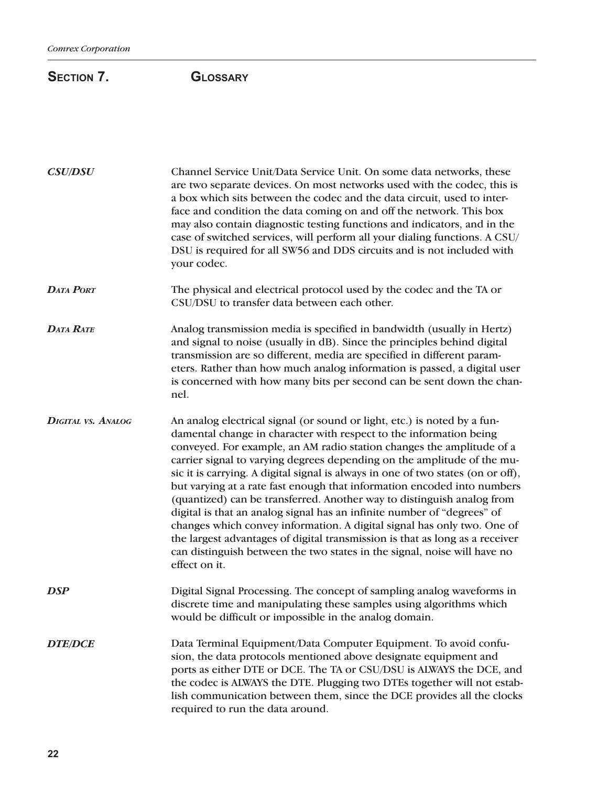# SECTION 7. **GLOSSARY**

| <b>CSU/DSU</b>            | Channel Service Unit/Data Service Unit. On some data networks, these<br>are two separate devices. On most networks used with the codec, this is<br>a box which sits between the codec and the data circuit, used to inter-<br>face and condition the data coming on and off the network. This box<br>may also contain diagnostic testing functions and indicators, and in the<br>case of switched services, will perform all your dialing functions. A CSU/<br>DSU is required for all SW56 and DDS circuits and is not included with<br>your codec.                                                                                                                                                                                                                                                                                                                           |
|---------------------------|--------------------------------------------------------------------------------------------------------------------------------------------------------------------------------------------------------------------------------------------------------------------------------------------------------------------------------------------------------------------------------------------------------------------------------------------------------------------------------------------------------------------------------------------------------------------------------------------------------------------------------------------------------------------------------------------------------------------------------------------------------------------------------------------------------------------------------------------------------------------------------|
| DATA PORT                 | The physical and electrical protocol used by the codec and the TA or<br>CSU/DSU to transfer data between each other.                                                                                                                                                                                                                                                                                                                                                                                                                                                                                                                                                                                                                                                                                                                                                           |
| DATA RATE                 | Analog transmission media is specified in bandwidth (usually in Hertz)<br>and signal to noise (usually in dB). Since the principles behind digital<br>transmission are so different, media are specified in different param-<br>eters. Rather than how much analog information is passed, a digital user<br>is concerned with how many bits per second can be sent down the chan-<br>nel.                                                                                                                                                                                                                                                                                                                                                                                                                                                                                      |
| <b>DIGITAL VS. ANALOG</b> | An analog electrical signal (or sound or light, etc.) is noted by a fun-<br>damental change in character with respect to the information being<br>conveyed. For example, an AM radio station changes the amplitude of a<br>carrier signal to varying degrees depending on the amplitude of the mu-<br>sic it is carrying. A digital signal is always in one of two states (on or off),<br>but varying at a rate fast enough that information encoded into numbers<br>(quantized) can be transferred. Another way to distinguish analog from<br>digital is that an analog signal has an infinite number of "degrees" of<br>changes which convey information. A digital signal has only two. One of<br>the largest advantages of digital transmission is that as long as a receiver<br>can distinguish between the two states in the signal, noise will have no<br>effect on it. |
| DSP                       | Digital Signal Processing. The concept of sampling analog waveforms in<br>discrete time and manipulating these samples using algorithms which<br>would be difficult or impossible in the analog domain.                                                                                                                                                                                                                                                                                                                                                                                                                                                                                                                                                                                                                                                                        |
| <b>DTE/DCE</b>            | Data Terminal Equipment/Data Computer Equipment. To avoid confu-<br>sion, the data protocols mentioned above designate equipment and<br>ports as either DTE or DCE. The TA or CSU/DSU is ALWAYS the DCE, and<br>the codec is ALWAYS the DTE. Plugging two DTEs together will not estab-<br>lish communication between them, since the DCE provides all the clocks<br>required to run the data around.                                                                                                                                                                                                                                                                                                                                                                                                                                                                          |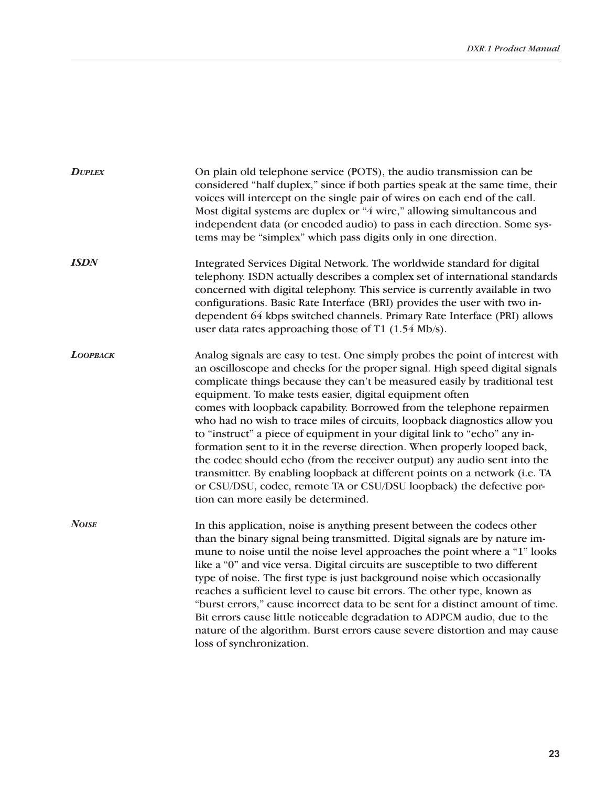| <b>DUPLEX</b>   | On plain old telephone service (POTS), the audio transmission can be<br>considered "half duplex," since if both parties speak at the same time, their<br>voices will intercept on the single pair of wires on each end of the call.<br>Most digital systems are duplex or "4 wire," allowing simultaneous and<br>independent data (or encoded audio) to pass in each direction. Some sys-<br>tems may be "simplex" which pass digits only in one direction.                                                                                                                                                                                                                                                                                                                                                                                                                                         |
|-----------------|-----------------------------------------------------------------------------------------------------------------------------------------------------------------------------------------------------------------------------------------------------------------------------------------------------------------------------------------------------------------------------------------------------------------------------------------------------------------------------------------------------------------------------------------------------------------------------------------------------------------------------------------------------------------------------------------------------------------------------------------------------------------------------------------------------------------------------------------------------------------------------------------------------|
| <b>ISDN</b>     | Integrated Services Digital Network. The worldwide standard for digital<br>telephony. ISDN actually describes a complex set of international standards<br>concerned with digital telephony. This service is currently available in two<br>configurations. Basic Rate Interface (BRI) provides the user with two in-<br>dependent 64 kbps switched channels. Primary Rate Interface (PRI) allows<br>user data rates approaching those of T1 $(1.54 \text{ Mb/s})$ .                                                                                                                                                                                                                                                                                                                                                                                                                                  |
| <b>LOOPBACK</b> | Analog signals are easy to test. One simply probes the point of interest with<br>an oscilloscope and checks for the proper signal. High speed digital signals<br>complicate things because they can't be measured easily by traditional test<br>equipment. To make tests easier, digital equipment often<br>comes with loopback capability. Borrowed from the telephone repairmen<br>who had no wish to trace miles of circuits, loopback diagnostics allow you<br>to "instruct" a piece of equipment in your digital link to "echo" any in-<br>formation sent to it in the reverse direction. When properly looped back,<br>the codec should echo (from the receiver output) any audio sent into the<br>transmitter. By enabling loopback at different points on a network (i.e. TA<br>or CSU/DSU, codec, remote TA or CSU/DSU loopback) the defective por-<br>tion can more easily be determined. |
| <b>NOISE</b>    | In this application, noise is anything present between the codecs other<br>than the binary signal being transmitted. Digital signals are by nature im-<br>mune to noise until the noise level approaches the point where a "1" looks<br>like a "0" and vice versa. Digital circuits are susceptible to two different<br>type of noise. The first type is just background noise which occasionally<br>reaches a sufficient level to cause bit errors. The other type, known as<br>"burst errors," cause incorrect data to be sent for a distinct amount of time.<br>Bit errors cause little noticeable degradation to ADPCM audio, due to the<br>nature of the algorithm. Burst errors cause severe distortion and may cause<br>loss of synchronization.                                                                                                                                             |